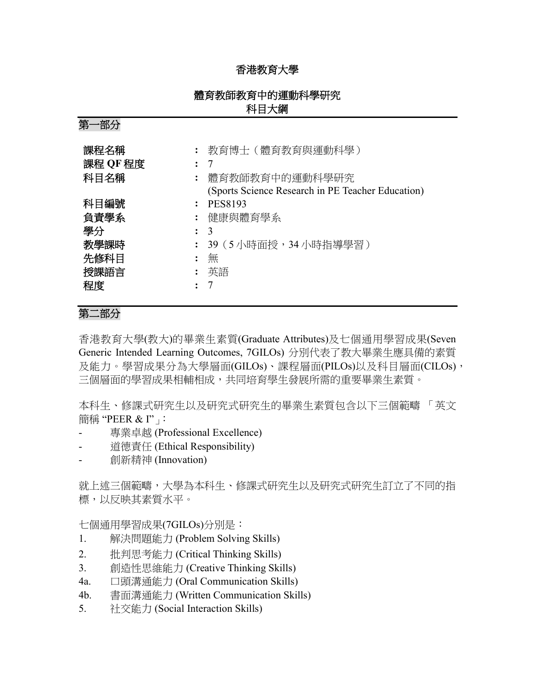### 香港教育大學

### 體育教師教育中的運動科學研究 科目大綱

第一部分

| 課程名稱<br>課程 QF 程度<br>科目名稱                         |                | 教育博士(體育教育與運動科學)<br>-7<br>體育教師教育中的運動科學研究<br>(Sports Science Research in PE Teacher Education) |
|--------------------------------------------------|----------------|----------------------------------------------------------------------------------------------|
| 科目編號<br>負責學系<br>學分<br>教學課時<br>先修科目<br>授課語言<br>程度 | $\ddot{\cdot}$ | <b>PES8193</b><br>健康與體育學系<br>$\mathcal{R}$<br>39(5 小時面授,34 小時指導學習)<br>無<br>英語                |

## 第二部分

香港教育大學(教大)的畢業生素質(Graduate Attributes)及七個通用學習成果(Seven Generic Intended Learning Outcomes, 7GILOs) 分別代表了教大畢業生應具備的素質 及能力。學習成果分為大學層面(GILOs)、課程層面(PILOs)以及科目層面(CILOs), 三個層面的學習成果相輔相成,共同培育學生發展所需的重要畢業生素質。

本科生、修課式研究生以及研究式研究生的畢業生素質包含以下三個範疇 「英文 簡稱 "PEER & I"」:

- 專業卓越 (Professional Excellence)
- 道德責任 (Ethical Responsibility)
- 創新精神 (Innovation)

就上述三個範疇,大學為本科生、修課式研究生以及研究式研究生訂立了不同的指 標,以反映其素質水平。

七個通用學習成果(7GILOs)分別是:

- 1. 解決問題能力 (Problem Solving Skills)
- 2. 批判思考能力 (Critical Thinking Skills)
- 3. 創造性思維能力 (Creative Thinking Skills)
- 4a. 口頭溝通能力 (Oral Communication Skills)
- 4b. 書面溝通能力 (Written Communication Skills)
- 5. 社交能力 (Social Interaction Skills)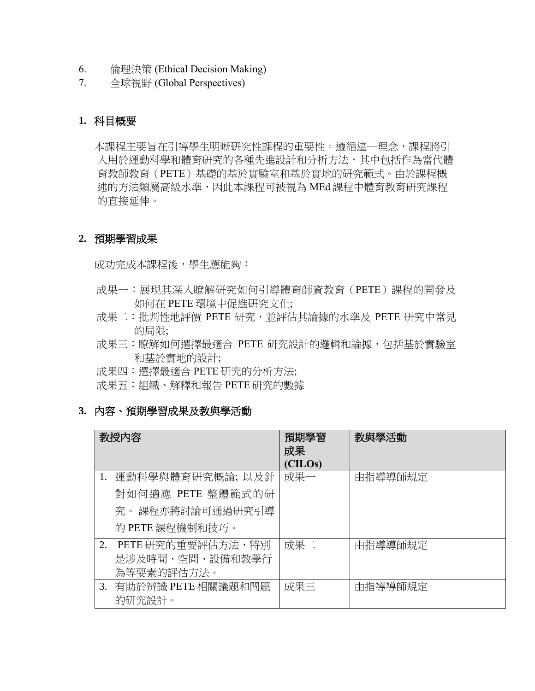- 6. 倫理決策 (Ethical Decision Making)
- 7. 全球視野 (Global Perspectives)

### **1.** 科目概要

本課程主要旨在引導學生明晰研究性課程的重要性。遵循這一理念,課程將引 入用於運動科學和體育研究的各種先進設計和分析方法,其中包括作為當代體 育教師教育(PETE)基礎的基於實驗室和基於實地的研究範式。由於課程概 述的方法類屬高級水準,因此本課程可被視為 MEd 課程中體育教育研究課程 的直接延伸。

### **2.** 預期學習成果

成功完成本課程後,學生應能夠:

- 成果一:展現其深入瞭解研究如何引導體育師資教育(PETE)課程的開發及 如何在 PETE 環境中促進研究文化;
- 成果二:批判性地評價 PETE 研究,並評估其論據的水準及 PETE 研究中常見 的局限;
- 成果三:瞭解如何選擇最適合 PETE 研究設計的邏輯和論據,包括基於實驗室 和基於實地的設計;
- 成果四:選擇最適合 PETE 研究的分析方法;
- 成果五:組織、解釋和報告 PETE 研究的數據
- **3.** 內容、預期學習成果及教與學活動

|    | 教授内容                                                                        | 預期學習<br>成果<br>(CILOs) | 教與學活動   |
|----|-----------------------------------------------------------------------------|-----------------------|---------|
| 1. | 運動科學與體育研究概論; 以及針<br>對如何適應 PETE 整體範式的研<br>究。課程亦將討論可通過研究引導<br>的 PETE 課程機制和技巧。 | 成果一                   | 由指導導師規定 |
| 2. | PETE 研究的重要評估方法,特別<br>是涉及時間、空間、設備和教學行<br>為等要素的評估方法。                          | 成果二                   | 由指導導師規定 |
|    | 3. 有助於辨識 PETE 相關議題和問題<br>的研究設計。                                             | 成果三                   | 由指導導師規定 |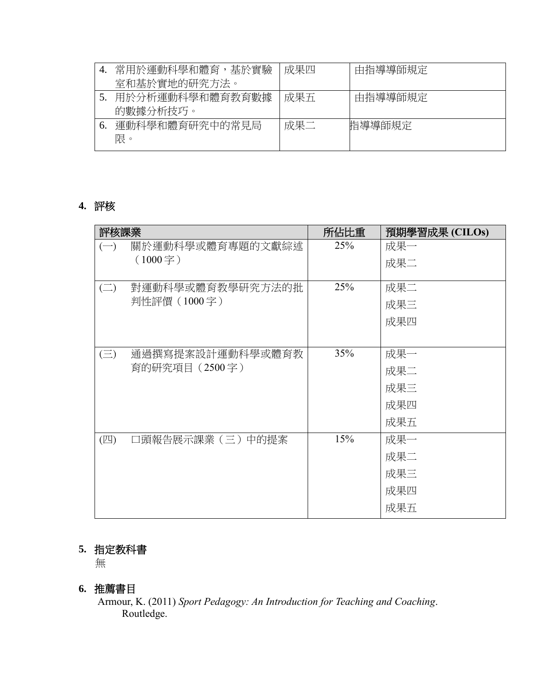|    | 常用於運動科學和體育,基於實驗 | 成果四 | 由指導導師規定 |
|----|-----------------|-----|---------|
|    | 室和基於實地的研究方法。    |     |         |
|    | 用於分析運動科學和體育教育數據 | 成果五 | 由指導導師規定 |
|    | 的數據分析技巧。        |     |         |
| 6. | 運動科學和體育研究中的常見局  | 成果二 | 指導導師規定  |
|    | 限。              |     |         |
|    |                 |     |         |

## **4.** 評核

| 評核課業                                       | 所佔比重 | 預期學習成果 (CILOs) |
|--------------------------------------------|------|----------------|
| 關於運動科學或體育專題的文獻綜述<br>$(-)$                  | 25%  | 成果一            |
| $(1000 - \nvert\vec{r})$                   |      | 成果二            |
|                                            |      |                |
| 對運動科學或體育教學研究方法的批<br>$\left(\square\right)$ | 25%  | 成果二            |
| 判性評價 (1000字)                               |      | 成果三            |
|                                            |      | 成果四            |
|                                            |      |                |
| 通過撰寫提案設計運動科學或體育教<br>$(\equiv)$             | 35%  | 成果一            |
| 育的研究項目 (2500字)                             |      | 成果二            |
|                                            |      | 成果三            |
|                                            |      | 成果四            |
|                                            |      | 成果五            |
| 口頭報告展示課業 (三) 中的提案<br>(四)                   | 15%  | 成果一            |
|                                            |      | 成果二            |
|                                            |      | 成果三            |
|                                            |      | 成果四            |
|                                            |      | 成果五            |
|                                            |      |                |

# **5.** 指定教科書

無

## **6.** 推薦書目

Armour, K. (2011) *Sport Pedagogy: An Introduction for Teaching and Coaching*. Routledge.